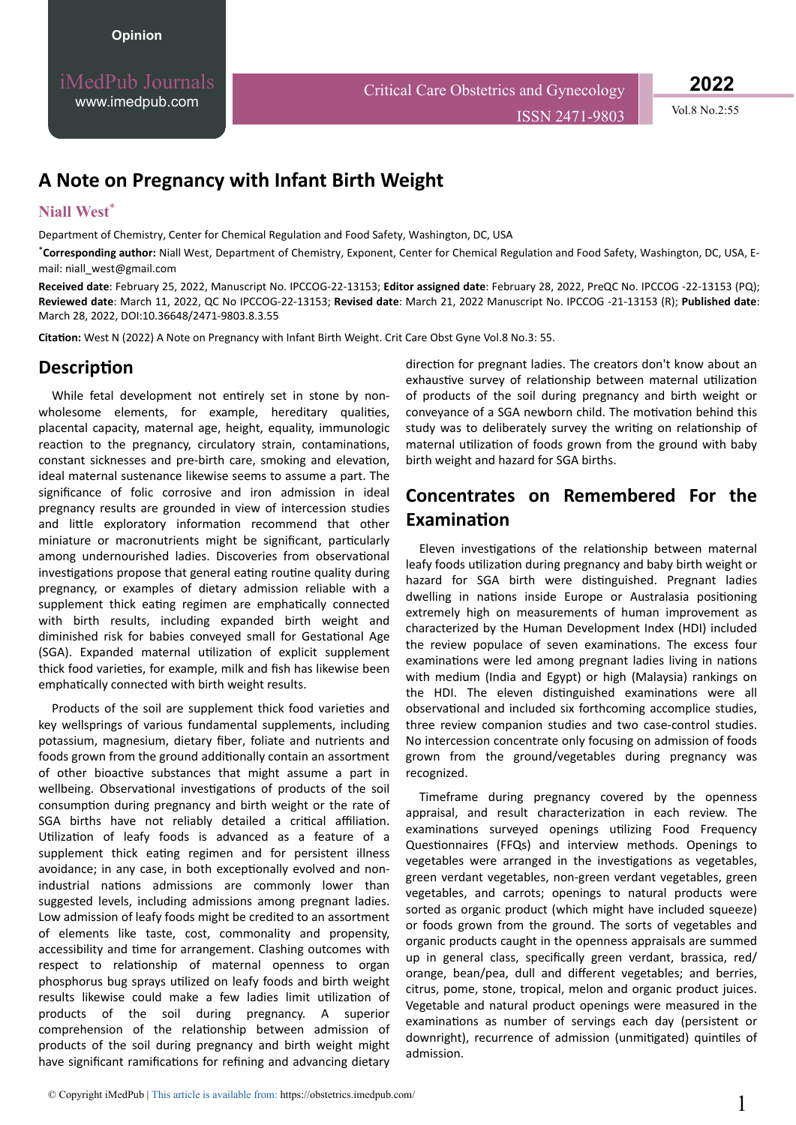iMedPub Journals [www.imedpub.com](http://www.imedpub.com/)

Critical Care Obstetrics and Gynecology

**2022**

ISSN 2471-9803 Vol.8 No.2:55

# **A Note on Pregnancy with Infant Birth Weight**

#### **Niall West**\*

Department of Chemistry, Center for Chemical Regulation and Food Safety, Washington, DC, USA

\*Corresponding author: Niall West, Department of Chemistry, Exponent, Center for Chemical Regulation and Food Safety, Washington, DC, USA, Email: niall\_west@gmail.com

**Received date**: February 25, 2022, Manuscript No. IPCCOG-22-13153; **Editor assigned date**: February 28, 2022, PreQC No. IPCCOG -22-13153 (PQ); **Reviewed date**: March 11, 2022, QC No IPCCOG-22-13153; **Revised date**: March 21, 2022 Manuscript No. IPCCOG -21-13153 (R); **Published date**: March 28, 2022, DOI:10.36648/2471-9803.8.3.55

Citation: West N (2022) A Note on Pregnancy with Infant Birth Weight. Crit Care Obst Gyne Vol.8 No.3: 55.

### Description

While fetal development not entirely set in stone by nonwholesome elements, for example, hereditary qualities, placental capacity, maternal age, height, equality, immunologic reaction to the pregnancy, circulatory strain, contaminations, constant sicknesses and pre-birth care, smoking and elevation, ideal maternal sustenance likewise seems to assume a part. The significance of folic corrosive and iron admission in ideal pregnancy results are grounded in view of intercession studies and little exploratory information recommend that other miniature or macronutrients might be significant, particularly among undernourished ladies. Discoveries from observational investigations propose that general eating routine quality during pregnancy, or examples of dietary admission reliable with a supplement thick eating regimen are emphatically connected with birth results, including expanded birth weight and diminished risk for babies conveyed small for Gestational Age (SGA). Expanded maternal utilization of explicit supplement thick food varieties, for example, milk and fish has likewise been emphatically connected with birth weight results.

Products of the soil are supplement thick food varieties and key wellsprings of various fundamental supplements, including potassium, magnesium, dietary fiber, foliate and nutrients and foods grown from the ground additionally contain an assortment of other bioactive substances that might assume a part in wellbeing. Observational investigations of products of the soil consumption during pregnancy and birth weight or the rate of SGA births have not reliably detailed a critical affiliation. Utilization of leafy foods is advanced as a feature of a supplement thick eating regimen and for persistent illness avoidance; in any case, in both exceptionally evolved and nonindustrial nations admissions are commonly lower than suggested levels, including admissions among pregnant ladies. Low admission of leafy foods might be credited to an assortment of elements like taste, cost, commonality and propensity, accessibility and time for arrangement. Clashing outcomes with respect to relationship of maternal openness to organ phosphorus bug sprays utilized on leafy foods and birth weight results likewise could make a few ladies limit utilization of products of the soil during pregnancy. A superior comprehension of the relationship between admission of products of the soil during pregnancy and birth weight might have significant ramifications for refining and advancing dietary

direction for pregnant ladies. The creators don't know about an exhaustive survey of relationship between maternal utilization of products of the soil during pregnancy and birth weight or conveyance of a SGA newborn child. The motivation behind this study was to deliberately survey the writing on relationship of maternal utilization of foods grown from the ground with baby birth weight and hazard for SGA births.

# **Concentrates on Remembered For the Examination**

Eleven investigations of the relationship between maternal leafy foods utilization during pregnancy and baby birth weight or hazard for SGA birth were distinguished. Pregnant ladies dwelling in nations inside Europe or Australasia positioning extremely high on measurements of human improvement as characterized by the Human Development Index (HDI) included the review populace of seven examinations. The excess four examinations were led among pregnant ladies living in nations with medium (India and Egypt) or high (Malaysia) rankings on the HDI. The eleven distinguished examinations were all observational and included six forthcoming accomplice studies, three review companion studies and two case-control studies. No intercession concentrate only focusing on admission of foods grown from the ground/vegetables during pregnancy was recognized.

Timeframe during pregnancy covered by the openness appraisal, and result characterization in each review. The examinations surveyed openings utilizing Food Frequency Questionnaires (FFQs) and interview methods. Openings to vegetables were arranged in the investigations as vegetables, green verdant vegetables, non-green verdant vegetables, green vegetables, and carrots; openings to natural products were sorted as organic product (which might have included squeeze) or foods grown from the ground. The sorts of vegetables and organic products caught in the openness appraisals are summed up in general class, specifically green verdant, brassica, red/ orange, bean/pea, dull and different vegetables; and berries, citrus, pome, stone, tropical, melon and organic product juices. Vegetable and natural product openings were measured in the examinations as number of servings each day (persistent or downright), recurrence of admission (unmitigated) quintiles of admission.